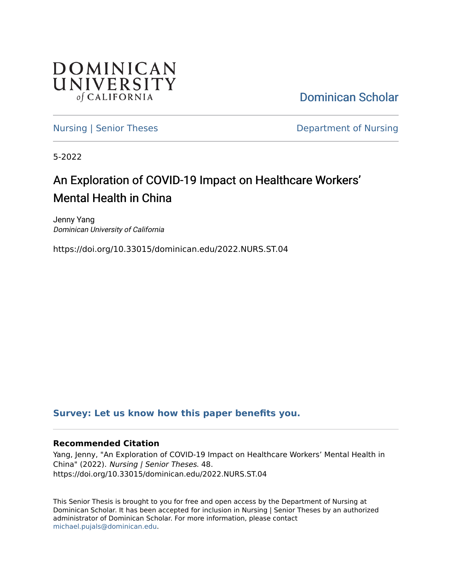

[Dominican Scholar](https://scholar.dominican.edu/) 

[Nursing | Senior Theses](https://scholar.dominican.edu/nursing-senior-theses) **Department of Nursing** 

5-2022

# An Exploration of COVID-19 Impact on Healthcare Workers' Mental Health in China

Jenny Yang Dominican University of California

https://doi.org/10.33015/dominican.edu/2022.NURS.ST.04

# **[Survey: Let us know how this paper benefits you.](https://dominican.libwizard.com/dominican-scholar-feedback)**

# **Recommended Citation**

Yang, Jenny, "An Exploration of COVID-19 Impact on Healthcare Workers' Mental Health in China" (2022). Nursing | Senior Theses. 48. https://doi.org/10.33015/dominican.edu/2022.NURS.ST.04

This Senior Thesis is brought to you for free and open access by the Department of Nursing at Dominican Scholar. It has been accepted for inclusion in Nursing | Senior Theses by an authorized administrator of Dominican Scholar. For more information, please contact [michael.pujals@dominican.edu.](mailto:michael.pujals@dominican.edu)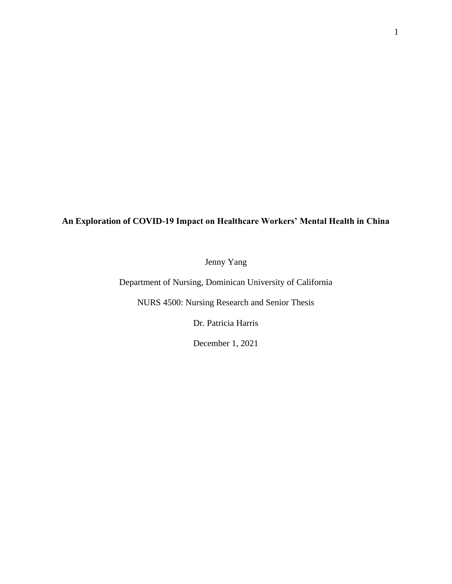1

# **An Exploration of COVID-19 Impact on Healthcare Workers' Mental Health in China**

Jenny Yang

Department of Nursing, Dominican University of California

NURS 4500: Nursing Research and Senior Thesis

Dr. Patricia Harris

December 1, 2021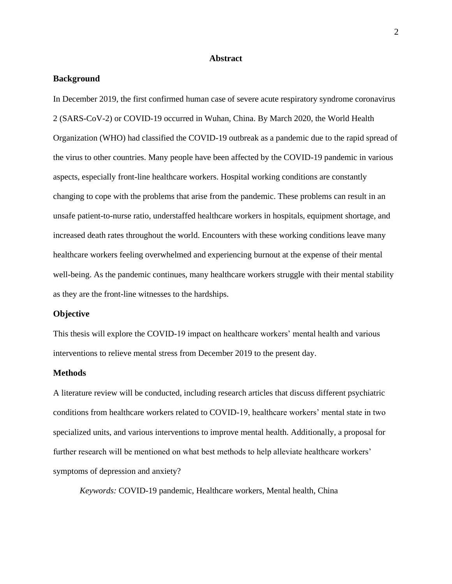#### **Abstract**

#### <span id="page-2-1"></span><span id="page-2-0"></span>**Background**

In December 2019, the first confirmed human case of severe acute respiratory syndrome coronavirus 2 (SARS-CoV-2) or COVID-19 occurred in Wuhan, China. By March 2020, the World Health Organization (WHO) had classified the COVID-19 outbreak as a pandemic due to the rapid spread of the virus to other countries. Many people have been affected by the COVID-19 pandemic in various aspects, especially front-line healthcare workers. Hospital working conditions are constantly changing to cope with the problems that arise from the pandemic. These problems can result in an unsafe patient-to-nurse ratio, understaffed healthcare workers in hospitals, equipment shortage, and increased death rates throughout the world. Encounters with these working conditions leave many healthcare workers feeling overwhelmed and experiencing burnout at the expense of their mental well-being. As the pandemic continues, many healthcare workers struggle with their mental stability as they are the front-line witnesses to the hardships.

#### <span id="page-2-2"></span>**Objective**

This thesis will explore the COVID-19 impact on healthcare workers' mental health and various interventions to relieve mental stress from December 2019 to the present day.

#### <span id="page-2-3"></span>**Methods**

A literature review will be conducted, including research articles that discuss different psychiatric conditions from healthcare workers related to COVID-19, healthcare workers' mental state in two specialized units, and various interventions to improve mental health. Additionally, a proposal for further research will be mentioned on what best methods to help alleviate healthcare workers' symptoms of depression and anxiety?

*Keywords:* COVID-19 pandemic, Healthcare workers, Mental health, China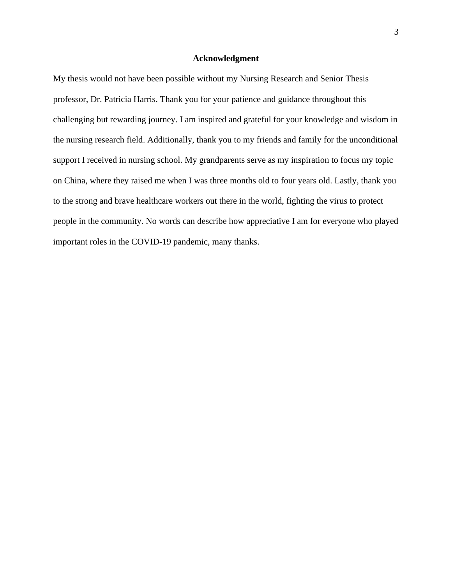#### **Acknowledgment**

<span id="page-3-0"></span>My thesis would not have been possible without my Nursing Research and Senior Thesis professor, Dr. Patricia Harris. Thank you for your patience and guidance throughout this challenging but rewarding journey. I am inspired and grateful for your knowledge and wisdom in the nursing research field. Additionally, thank you to my friends and family for the unconditional support I received in nursing school. My grandparents serve as my inspiration to focus my topic on China, where they raised me when I was three months old to four years old. Lastly, thank you to the strong and brave healthcare workers out there in the world, fighting the virus to protect people in the community. No words can describe how appreciative I am for everyone who played important roles in the COVID-19 pandemic, many thanks.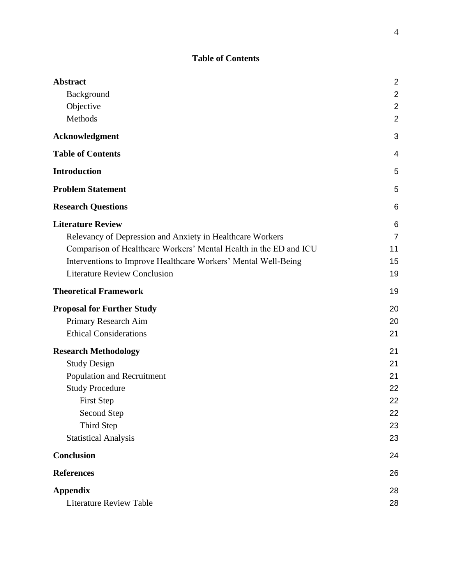# **Table of Contents**

<span id="page-4-0"></span>

| <b>Abstract</b>                                                   | $\overline{2}$ |
|-------------------------------------------------------------------|----------------|
| Background                                                        | $\mathbf 2$    |
| Objective                                                         | $\overline{2}$ |
| Methods                                                           | $\overline{2}$ |
| Acknowledgment                                                    | 3              |
| <b>Table of Contents</b>                                          | 4              |
| <b>Introduction</b>                                               | 5              |
| <b>Problem Statement</b>                                          | 5              |
| <b>Research Questions</b>                                         | 6              |
| <b>Literature Review</b>                                          | 6              |
| Relevancy of Depression and Anxiety in Healthcare Workers         | $\overline{7}$ |
| Comparison of Healthcare Workers' Mental Health in the ED and ICU | 11             |
| Interventions to Improve Healthcare Workers' Mental Well-Being    | 15             |
| <b>Literature Review Conclusion</b>                               | 19             |
| <b>Theoretical Framework</b>                                      | 19             |
| <b>Proposal for Further Study</b>                                 | 20             |
| Primary Research Aim                                              | 20             |
| <b>Ethical Considerations</b>                                     | 21             |
| <b>Research Methodology</b>                                       | 21             |
| <b>Study Design</b>                                               | 21             |
| Population and Recruitment                                        | 21             |
| <b>Study Procedure</b>                                            | 22             |
| <b>First Step</b>                                                 | 22             |
| Second Step                                                       | 22             |
| Third Step                                                        | 23             |
| <b>Statistical Analysis</b>                                       | 23             |
| <b>Conclusion</b>                                                 | 24             |
| <b>References</b>                                                 | 26             |
| <b>Appendix</b>                                                   | 28             |
| <b>Literature Review Table</b>                                    | 28             |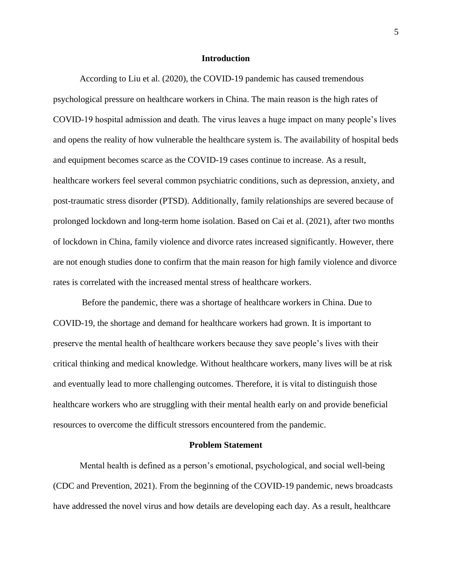#### **Introduction**

<span id="page-5-0"></span>According to Liu et al. (2020), the COVID-19 pandemic has caused tremendous psychological pressure on healthcare workers in China. The main reason is the high rates of COVID-19 hospital admission and death. The virus leaves a huge impact on many people's lives and opens the reality of how vulnerable the healthcare system is. The availability of hospital beds and equipment becomes scarce as the COVID-19 cases continue to increase. As a result, healthcare workers feel several common psychiatric conditions, such as depression, anxiety, and post-traumatic stress disorder (PTSD). Additionally, family relationships are severed because of prolonged lockdown and long-term home isolation. Based on Cai et al. (2021), after two months of lockdown in China, family violence and divorce rates increased significantly. However, there are not enough studies done to confirm that the main reason for high family violence and divorce rates is correlated with the increased mental stress of healthcare workers.

Before the pandemic, there was a shortage of healthcare workers in China. Due to COVID-19, the shortage and demand for healthcare workers had grown. It is important to preserve the mental health of healthcare workers because they save people's lives with their critical thinking and medical knowledge. Without healthcare workers, many lives will be at risk and eventually lead to more challenging outcomes. Therefore, it is vital to distinguish those healthcare workers who are struggling with their mental health early on and provide beneficial resources to overcome the difficult stressors encountered from the pandemic.

#### **Problem Statement**

<span id="page-5-1"></span>Mental health is defined as a person's emotional, psychological, and social well-being (CDC and Prevention, 2021). From the beginning of the COVID-19 pandemic, news broadcasts have addressed the novel virus and how details are developing each day. As a result, healthcare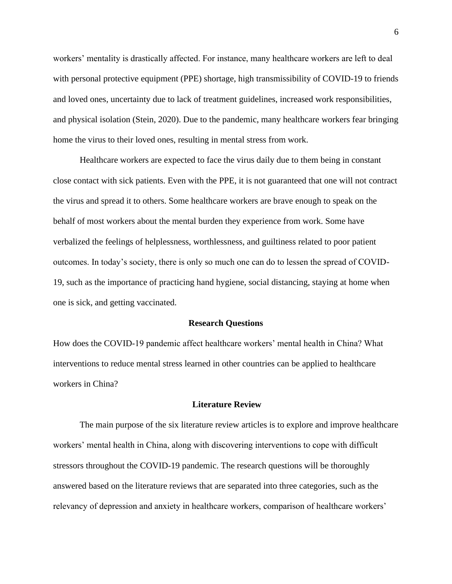workers' mentality is drastically affected. For instance, many healthcare workers are left to deal with personal protective equipment (PPE) shortage, high transmissibility of COVID-19 to friends and loved ones, uncertainty due to lack of treatment guidelines, increased work responsibilities, and physical isolation (Stein, 2020). Due to the pandemic, many healthcare workers fear bringing home the virus to their loved ones, resulting in mental stress from work.

Healthcare workers are expected to face the virus daily due to them being in constant close contact with sick patients. Even with the PPE, it is not guaranteed that one will not contract the virus and spread it to others. Some healthcare workers are brave enough to speak on the behalf of most workers about the mental burden they experience from work. Some have verbalized the feelings of helplessness, worthlessness, and guiltiness related to poor patient outcomes. In today's society, there is only so much one can do to lessen the spread of COVID-19, such as the importance of practicing hand hygiene, social distancing, staying at home when one is sick, and getting vaccinated.

#### **Research Questions**

<span id="page-6-0"></span>How does the COVID-19 pandemic affect healthcare workers' mental health in China? What interventions to reduce mental stress learned in other countries can be applied to healthcare workers in China?

#### **Literature Review**

<span id="page-6-1"></span>The main purpose of the six literature review articles is to explore and improve healthcare workers' mental health in China, along with discovering interventions to cope with difficult stressors throughout the COVID-19 pandemic. The research questions will be thoroughly answered based on the literature reviews that are separated into three categories, such as the relevancy of depression and anxiety in healthcare workers, comparison of healthcare workers'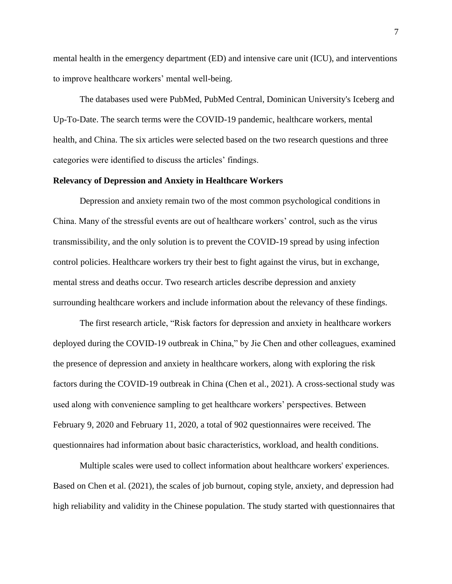mental health in the emergency department (ED) and intensive care unit (ICU), and interventions to improve healthcare workers' mental well-being.

The databases used were PubMed, PubMed Central, Dominican University's Iceberg and Up-To-Date. The search terms were the COVID-19 pandemic, healthcare workers, mental health, and China. The six articles were selected based on the two research questions and three categories were identified to discuss the articles' findings.

#### <span id="page-7-0"></span>**Relevancy of Depression and Anxiety in Healthcare Workers**

Depression and anxiety remain two of the most common psychological conditions in China. Many of the stressful events are out of healthcare workers' control, such as the virus transmissibility, and the only solution is to prevent the COVID-19 spread by using infection control policies. Healthcare workers try their best to fight against the virus, but in exchange, mental stress and deaths occur. Two research articles describe depression and anxiety surrounding healthcare workers and include information about the relevancy of these findings.

The first research article, "Risk factors for depression and anxiety in healthcare workers deployed during the COVID-19 outbreak in China," by Jie Chen and other colleagues, examined the presence of depression and anxiety in healthcare workers, along with exploring the risk factors during the COVID-19 outbreak in China (Chen et al., 2021). A cross-sectional study was used along with convenience sampling to get healthcare workers' perspectives. Between February 9, 2020 and February 11, 2020, a total of 902 questionnaires were received. The questionnaires had information about basic characteristics, workload, and health conditions.

Multiple scales were used to collect information about healthcare workers' experiences. Based on Chen et al. (2021), the scales of job burnout, coping style, anxiety, and depression had high reliability and validity in the Chinese population. The study started with questionnaires that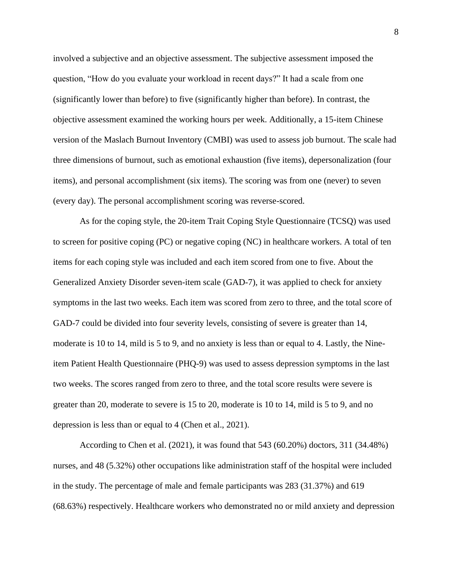involved a subjective and an objective assessment. The subjective assessment imposed the question, "How do you evaluate your workload in recent days?" It had a scale from one (significantly lower than before) to five (significantly higher than before). In contrast, the objective assessment examined the working hours per week. Additionally, a 15-item Chinese version of the Maslach Burnout Inventory (CMBI) was used to assess job burnout. The scale had three dimensions of burnout, such as emotional exhaustion (five items), depersonalization (four items), and personal accomplishment (six items). The scoring was from one (never) to seven (every day). The personal accomplishment scoring was reverse-scored.

As for the coping style, the 20-item Trait Coping Style Questionnaire (TCSQ) was used to screen for positive coping (PC) or negative coping (NC) in healthcare workers. A total of ten items for each coping style was included and each item scored from one to five. About the Generalized Anxiety Disorder seven-item scale (GAD-7), it was applied to check for anxiety symptoms in the last two weeks. Each item was scored from zero to three, and the total score of GAD-7 could be divided into four severity levels, consisting of severe is greater than 14, moderate is 10 to 14, mild is 5 to 9, and no anxiety is less than or equal to 4. Lastly, the Nineitem Patient Health Questionnaire (PHQ-9) was used to assess depression symptoms in the last two weeks. The scores ranged from zero to three, and the total score results were severe is greater than 20, moderate to severe is 15 to 20, moderate is 10 to 14, mild is 5 to 9, and no depression is less than or equal to 4 (Chen et al., 2021).

According to Chen et al. (2021), it was found that 543 (60.20%) doctors, 311 (34.48%) nurses, and 48 (5.32%) other occupations like administration staff of the hospital were included in the study. The percentage of male and female participants was 283 (31.37%) and 619 (68.63%) respectively. Healthcare workers who demonstrated no or mild anxiety and depression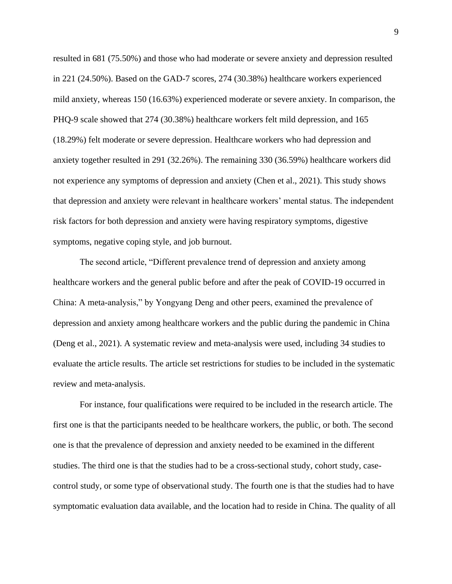resulted in 681 (75.50%) and those who had moderate or severe anxiety and depression resulted in 221 (24.50%). Based on the GAD-7 scores, 274 (30.38%) healthcare workers experienced mild anxiety, whereas 150 (16.63%) experienced moderate or severe anxiety. In comparison, the PHQ-9 scale showed that 274 (30.38%) healthcare workers felt mild depression, and 165 (18.29%) felt moderate or severe depression. Healthcare workers who had depression and anxiety together resulted in 291 (32.26%). The remaining 330 (36.59%) healthcare workers did not experience any symptoms of depression and anxiety (Chen et al., 2021). This study shows that depression and anxiety were relevant in healthcare workers' mental status. The independent risk factors for both depression and anxiety were having respiratory symptoms, digestive symptoms, negative coping style, and job burnout.

The second article, "Different prevalence trend of depression and anxiety among healthcare workers and the general public before and after the peak of COVID-19 occurred in China: A meta-analysis," by Yongyang Deng and other peers, examined the prevalence of depression and anxiety among healthcare workers and the public during the pandemic in China (Deng et al., 2021). A systematic review and meta-analysis were used, including 34 studies to evaluate the article results. The article set restrictions for studies to be included in the systematic review and meta-analysis.

For instance, four qualifications were required to be included in the research article. The first one is that the participants needed to be healthcare workers, the public, or both. The second one is that the prevalence of depression and anxiety needed to be examined in the different studies. The third one is that the studies had to be a cross-sectional study, cohort study, casecontrol study, or some type of observational study. The fourth one is that the studies had to have symptomatic evaluation data available, and the location had to reside in China. The quality of all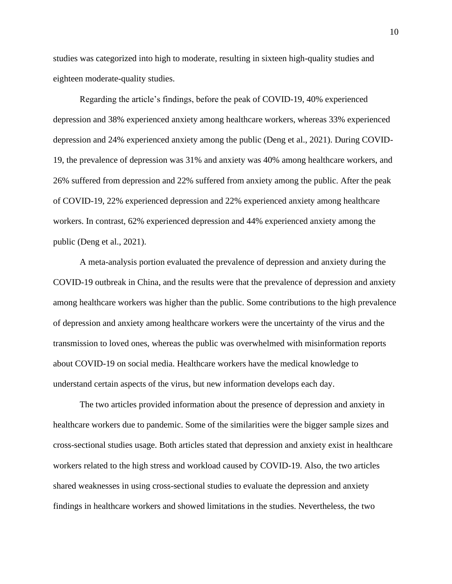studies was categorized into high to moderate, resulting in sixteen high-quality studies and eighteen moderate-quality studies.

Regarding the article's findings, before the peak of COVID-19, 40% experienced depression and 38% experienced anxiety among healthcare workers, whereas 33% experienced depression and 24% experienced anxiety among the public (Deng et al., 2021). During COVID-19, the prevalence of depression was 31% and anxiety was 40% among healthcare workers, and 26% suffered from depression and 22% suffered from anxiety among the public. After the peak of COVID-19, 22% experienced depression and 22% experienced anxiety among healthcare workers. In contrast, 62% experienced depression and 44% experienced anxiety among the public (Deng et al., 2021).

A meta-analysis portion evaluated the prevalence of depression and anxiety during the COVID-19 outbreak in China, and the results were that the prevalence of depression and anxiety among healthcare workers was higher than the public. Some contributions to the high prevalence of depression and anxiety among healthcare workers were the uncertainty of the virus and the transmission to loved ones, whereas the public was overwhelmed with misinformation reports about COVID-19 on social media. Healthcare workers have the medical knowledge to understand certain aspects of the virus, but new information develops each day.

The two articles provided information about the presence of depression and anxiety in healthcare workers due to pandemic. Some of the similarities were the bigger sample sizes and cross-sectional studies usage. Both articles stated that depression and anxiety exist in healthcare workers related to the high stress and workload caused by COVID-19. Also, the two articles shared weaknesses in using cross-sectional studies to evaluate the depression and anxiety findings in healthcare workers and showed limitations in the studies. Nevertheless, the two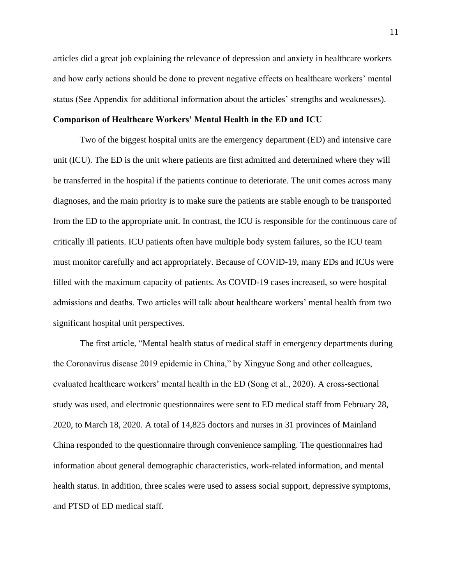articles did a great job explaining the relevance of depression and anxiety in healthcare workers and how early actions should be done to prevent negative effects on healthcare workers' mental status (See Appendix for additional information about the articles' strengths and weaknesses).

# <span id="page-11-0"></span>**Comparison of Healthcare Workers' Mental Health in the ED and ICU**

Two of the biggest hospital units are the emergency department (ED) and intensive care unit (ICU). The ED is the unit where patients are first admitted and determined where they will be transferred in the hospital if the patients continue to deteriorate. The unit comes across many diagnoses, and the main priority is to make sure the patients are stable enough to be transported from the ED to the appropriate unit. In contrast, the ICU is responsible for the continuous care of critically ill patients. ICU patients often have multiple body system failures, so the ICU team must monitor carefully and act appropriately. Because of COVID-19, many EDs and ICUs were filled with the maximum capacity of patients. As COVID-19 cases increased, so were hospital admissions and deaths. Two articles will talk about healthcare workers' mental health from two significant hospital unit perspectives.

The first article, "Mental health status of medical staff in emergency departments during the Coronavirus disease 2019 epidemic in China," by Xingyue Song and other colleagues, evaluated healthcare workers' mental health in the ED (Song et al., 2020). A cross-sectional study was used, and electronic questionnaires were sent to ED medical staff from February 28, 2020, to March 18, 2020. A total of 14,825 doctors and nurses in 31 provinces of Mainland China responded to the questionnaire through convenience sampling. The questionnaires had information about general demographic characteristics, work-related information, and mental health status. In addition, three scales were used to assess social support, depressive symptoms, and PTSD of ED medical staff.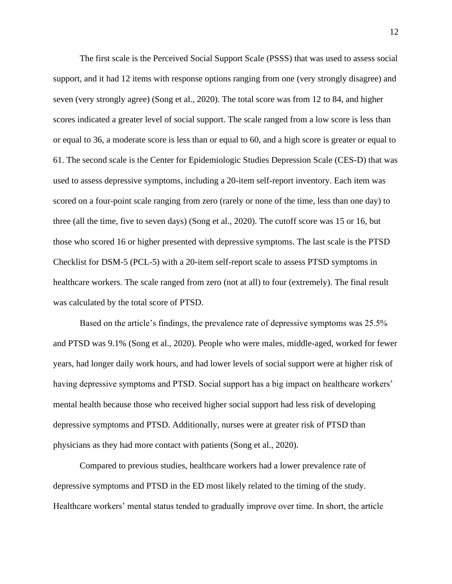The first scale is the Perceived Social Support Scale (PSSS) that was used to assess social support, and it had 12 items with response options ranging from one (very strongly disagree) and seven (very strongly agree) (Song et al., 2020). The total score was from 12 to 84, and higher scores indicated a greater level of social support. The scale ranged from a low score is less than or equal to 36, a moderate score is less than or equal to 60, and a high score is greater or equal to 61. The second scale is the Center for Epidemiologic Studies Depression Scale (CES-D) that was used to assess depressive symptoms, including a 20-item self-report inventory. Each item was scored on a four-point scale ranging from zero (rarely or none of the time, less than one day) to three (all the time, five to seven days) (Song et al., 2020). The cutoff score was 15 or 16, but those who scored 16 or higher presented with depressive symptoms. The last scale is the PTSD Checklist for DSM-5 (PCL-5) with a 20-item self-report scale to assess PTSD symptoms in healthcare workers. The scale ranged from zero (not at all) to four (extremely). The final result was calculated by the total score of PTSD.

Based on the article's findings, the prevalence rate of depressive symptoms was 25.5% and PTSD was 9.1% (Song et al., 2020). People who were males, middle-aged, worked for fewer years, had longer daily work hours, and had lower levels of social support were at higher risk of having depressive symptoms and PTSD. Social support has a big impact on healthcare workers' mental health because those who received higher social support had less risk of developing depressive symptoms and PTSD. Additionally, nurses were at greater risk of PTSD than physicians as they had more contact with patients (Song et al., 2020).

Compared to previous studies, healthcare workers had a lower prevalence rate of depressive symptoms and PTSD in the ED most likely related to the timing of the study. Healthcare workers' mental status tended to gradually improve over time. In short, the article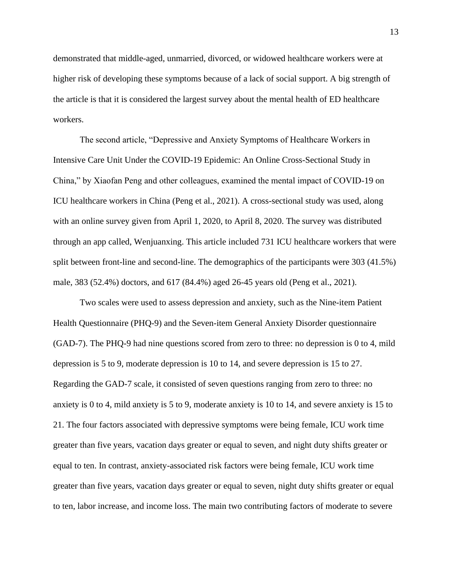demonstrated that middle-aged, unmarried, divorced, or widowed healthcare workers were at higher risk of developing these symptoms because of a lack of social support. A big strength of the article is that it is considered the largest survey about the mental health of ED healthcare workers.

The second article, "Depressive and Anxiety Symptoms of Healthcare Workers in Intensive Care Unit Under the COVID-19 Epidemic: An Online Cross-Sectional Study in China," by Xiaofan Peng and other colleagues, examined the mental impact of COVID-19 on ICU healthcare workers in China (Peng et al., 2021). A cross-sectional study was used, along with an online survey given from April 1, 2020, to April 8, 2020. The survey was distributed through an app called, Wenjuanxing. This article included 731 ICU healthcare workers that were split between front-line and second-line. The demographics of the participants were 303 (41.5%) male, 383 (52.4%) doctors, and 617 (84.4%) aged 26-45 years old (Peng et al., 2021).

Two scales were used to assess depression and anxiety, such as the Nine-item Patient Health Questionnaire (PHQ-9) and the Seven-item General Anxiety Disorder questionnaire (GAD-7). The PHQ-9 had nine questions scored from zero to three: no depression is 0 to 4, mild depression is 5 to 9, moderate depression is 10 to 14, and severe depression is 15 to 27. Regarding the GAD-7 scale, it consisted of seven questions ranging from zero to three: no anxiety is 0 to 4, mild anxiety is 5 to 9, moderate anxiety is 10 to 14, and severe anxiety is 15 to 21. The four factors associated with depressive symptoms were being female, ICU work time greater than five years, vacation days greater or equal to seven, and night duty shifts greater or equal to ten. In contrast, anxiety-associated risk factors were being female, ICU work time greater than five years, vacation days greater or equal to seven, night duty shifts greater or equal to ten, labor increase, and income loss. The main two contributing factors of moderate to severe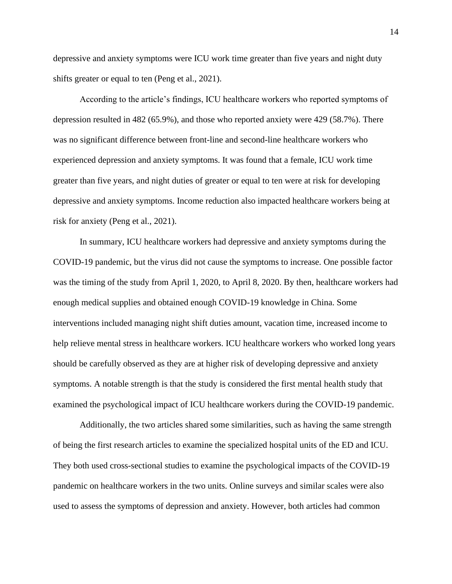depressive and anxiety symptoms were ICU work time greater than five years and night duty shifts greater or equal to ten (Peng et al., 2021).

According to the article's findings, ICU healthcare workers who reported symptoms of depression resulted in 482 (65.9%), and those who reported anxiety were 429 (58.7%). There was no significant difference between front-line and second-line healthcare workers who experienced depression and anxiety symptoms. It was found that a female, ICU work time greater than five years, and night duties of greater or equal to ten were at risk for developing depressive and anxiety symptoms. Income reduction also impacted healthcare workers being at risk for anxiety (Peng et al., 2021).

In summary, ICU healthcare workers had depressive and anxiety symptoms during the COVID-19 pandemic, but the virus did not cause the symptoms to increase. One possible factor was the timing of the study from April 1, 2020, to April 8, 2020. By then, healthcare workers had enough medical supplies and obtained enough COVID-19 knowledge in China. Some interventions included managing night shift duties amount, vacation time, increased income to help relieve mental stress in healthcare workers. ICU healthcare workers who worked long years should be carefully observed as they are at higher risk of developing depressive and anxiety symptoms. A notable strength is that the study is considered the first mental health study that examined the psychological impact of ICU healthcare workers during the COVID-19 pandemic.

Additionally, the two articles shared some similarities, such as having the same strength of being the first research articles to examine the specialized hospital units of the ED and ICU. They both used cross-sectional studies to examine the psychological impacts of the COVID-19 pandemic on healthcare workers in the two units. Online surveys and similar scales were also used to assess the symptoms of depression and anxiety. However, both articles had common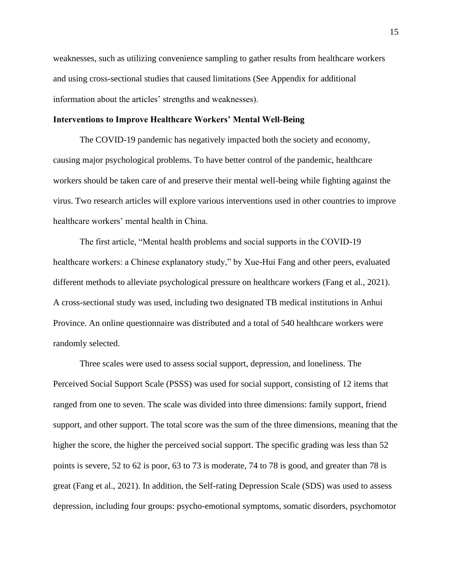weaknesses, such as utilizing convenience sampling to gather results from healthcare workers and using cross-sectional studies that caused limitations (See Appendix for additional information about the articles' strengths and weaknesses).

### <span id="page-15-0"></span>**Interventions to Improve Healthcare Workers' Mental Well-Being**

The COVID-19 pandemic has negatively impacted both the society and economy, causing major psychological problems. To have better control of the pandemic, healthcare workers should be taken care of and preserve their mental well-being while fighting against the virus. Two research articles will explore various interventions used in other countries to improve healthcare workers' mental health in China.

The first article, "Mental health problems and social supports in the COVID-19 healthcare workers: a Chinese explanatory study," by Xue-Hui Fang and other peers, evaluated different methods to alleviate psychological pressure on healthcare workers (Fang et al., 2021). A cross-sectional study was used, including two designated TB medical institutions in Anhui Province. An online questionnaire was distributed and a total of 540 healthcare workers were randomly selected.

Three scales were used to assess social support, depression, and loneliness. The Perceived Social Support Scale (PSSS) was used for social support, consisting of 12 items that ranged from one to seven. The scale was divided into three dimensions: family support, friend support, and other support. The total score was the sum of the three dimensions, meaning that the higher the score, the higher the perceived social support. The specific grading was less than 52 points is severe, 52 to 62 is poor, 63 to 73 is moderate, 74 to 78 is good, and greater than 78 is great (Fang et al., 2021). In addition, the Self-rating Depression Scale (SDS) was used to assess depression, including four groups: psycho-emotional symptoms, somatic disorders, psychomotor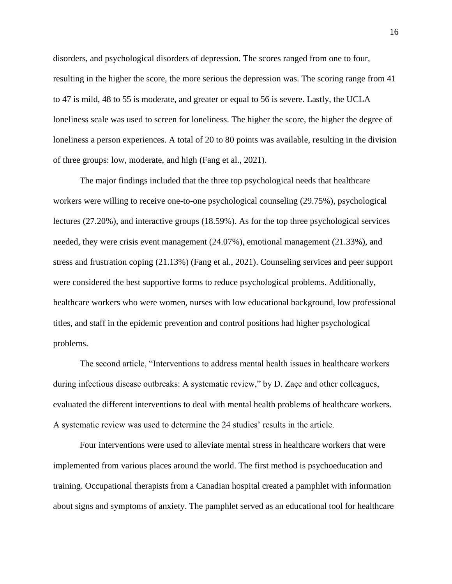disorders, and psychological disorders of depression. The scores ranged from one to four, resulting in the higher the score, the more serious the depression was. The scoring range from 41 to 47 is mild, 48 to 55 is moderate, and greater or equal to 56 is severe. Lastly, the UCLA loneliness scale was used to screen for loneliness. The higher the score, the higher the degree of loneliness a person experiences. A total of 20 to 80 points was available, resulting in the division of three groups: low, moderate, and high (Fang et al., 2021).

The major findings included that the three top psychological needs that healthcare workers were willing to receive one-to-one psychological counseling (29.75%), psychological lectures (27.20%), and interactive groups (18.59%). As for the top three psychological services needed, they were crisis event management (24.07%), emotional management (21.33%), and stress and frustration coping (21.13%) (Fang et al., 2021). Counseling services and peer support were considered the best supportive forms to reduce psychological problems. Additionally, healthcare workers who were women, nurses with low educational background, low professional titles, and staff in the epidemic prevention and control positions had higher psychological problems.

The second article, "Interventions to address mental health issues in healthcare workers during infectious disease outbreaks: A systematic review," by D. Zaçe and other colleagues, evaluated the different interventions to deal with mental health problems of healthcare workers. A systematic review was used to determine the 24 studies' results in the article.

Four interventions were used to alleviate mental stress in healthcare workers that were implemented from various places around the world. The first method is psychoeducation and training. Occupational therapists from a Canadian hospital created a pamphlet with information about signs and symptoms of anxiety. The pamphlet served as an educational tool for healthcare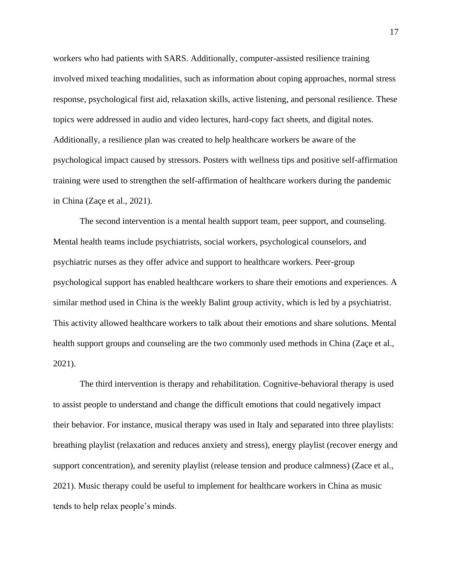workers who had patients with SARS. Additionally, computer-assisted resilience training involved mixed teaching modalities, such as information about coping approaches, normal stress response, psychological first aid, relaxation skills, active listening, and personal resilience. These topics were addressed in audio and video lectures, hard-copy fact sheets, and digital notes. Additionally, a resilience plan was created to help healthcare workers be aware of the psychological impact caused by stressors. Posters with wellness tips and positive self-affirmation training were used to strengthen the self-affirmation of healthcare workers during the pandemic in China (Zaçe et al., 2021).

The second intervention is a mental health support team, peer support, and counseling. Mental health teams include psychiatrists, social workers, psychological counselors, and psychiatric nurses as they offer advice and support to healthcare workers. Peer-group psychological support has enabled healthcare workers to share their emotions and experiences. A similar method used in China is the weekly Balint group activity, which is led by a psychiatrist. This activity allowed healthcare workers to talk about their emotions and share solutions. Mental health support groups and counseling are the two commonly used methods in China (Zaçe et al., 2021).

The third intervention is therapy and rehabilitation. Cognitive-behavioral therapy is used to assist people to understand and change the difficult emotions that could negatively impact their behavior. For instance, musical therapy was used in Italy and separated into three playlists: breathing playlist (relaxation and reduces anxiety and stress), energy playlist (recover energy and support concentration), and serenity playlist (release tension and produce calmness) (Zace et al., 2021). Music therapy could be useful to implement for healthcare workers in China as music tends to help relax people's minds.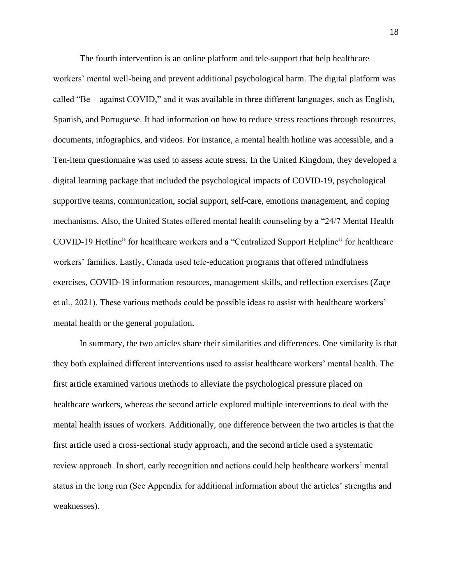The fourth intervention is an online platform and tele-support that help healthcare workers' mental well-being and prevent additional psychological harm. The digital platform was called "Be + against COVID," and it was available in three different languages, such as English, Spanish, and Portuguese. It had information on how to reduce stress reactions through resources, documents, infographics, and videos. For instance, a mental health hotline was accessible, and a Ten-item questionnaire was used to assess acute stress. In the United Kingdom, they developed a digital learning package that included the psychological impacts of COVID-19, psychological supportive teams, communication, social support, self-care, emotions management, and coping mechanisms. Also, the United States offered mental health counseling by a "24/7 Mental Health COVID-19 Hotline" for healthcare workers and a "Centralized Support Helpline" for healthcare workers' families. Lastly, Canada used tele-education programs that offered mindfulness exercises, COVID-19 information resources, management skills, and reflection exercises (Zaçe et al., 2021). These various methods could be possible ideas to assist with healthcare workers' mental health or the general population.

In summary, the two articles share their similarities and differences. One similarity is that they both explained different interventions used to assist healthcare workers' mental health. The first article examined various methods to alleviate the psychological pressure placed on healthcare workers, whereas the second article explored multiple interventions to deal with the mental health issues of workers. Additionally, one difference between the two articles is that the first article used a cross-sectional study approach, and the second article used a systematic review approach. In short, early recognition and actions could help healthcare workers' mental status in the long run (See Appendix for additional information about the articles' strengths and weaknesses).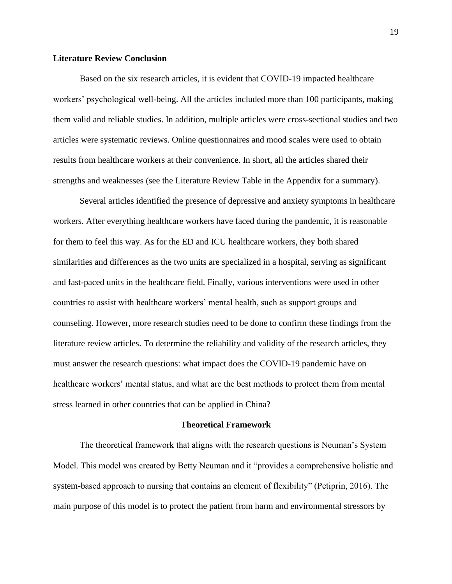## <span id="page-19-0"></span>**Literature Review Conclusion**

Based on the six research articles, it is evident that COVID-19 impacted healthcare workers' psychological well-being. All the articles included more than 100 participants, making them valid and reliable studies. In addition, multiple articles were cross-sectional studies and two articles were systematic reviews. Online questionnaires and mood scales were used to obtain results from healthcare workers at their convenience. In short, all the articles shared their strengths and weaknesses (see the Literature Review Table in the Appendix for a summary).

Several articles identified the presence of depressive and anxiety symptoms in healthcare workers. After everything healthcare workers have faced during the pandemic, it is reasonable for them to feel this way. As for the ED and ICU healthcare workers, they both shared similarities and differences as the two units are specialized in a hospital, serving as significant and fast-paced units in the healthcare field. Finally, various interventions were used in other countries to assist with healthcare workers' mental health, such as support groups and counseling. However, more research studies need to be done to confirm these findings from the literature review articles. To determine the reliability and validity of the research articles, they must answer the research questions: what impact does the COVID-19 pandemic have on healthcare workers' mental status, and what are the best methods to protect them from mental stress learned in other countries that can be applied in China?

#### **Theoretical Framework**

<span id="page-19-1"></span>The theoretical framework that aligns with the research questions is Neuman's System Model. This model was created by Betty Neuman and it "provides a comprehensive holistic and system-based approach to nursing that contains an element of flexibility" (Petiprin, 2016). The main purpose of this model is to protect the patient from harm and environmental stressors by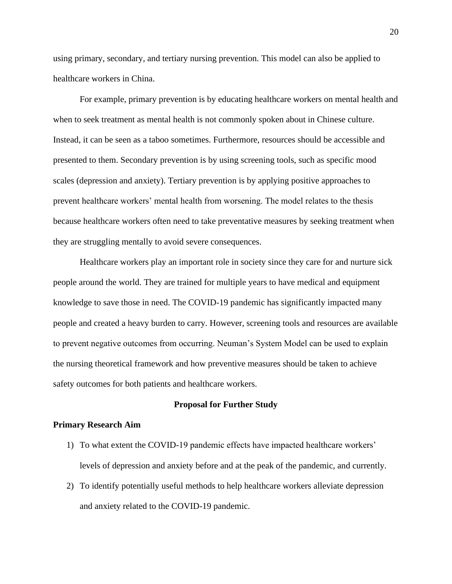using primary, secondary, and tertiary nursing prevention. This model can also be applied to healthcare workers in China.

For example, primary prevention is by educating healthcare workers on mental health and when to seek treatment as mental health is not commonly spoken about in Chinese culture. Instead, it can be seen as a taboo sometimes. Furthermore, resources should be accessible and presented to them. Secondary prevention is by using screening tools, such as specific mood scales (depression and anxiety). Tertiary prevention is by applying positive approaches to prevent healthcare workers' mental health from worsening. The model relates to the thesis because healthcare workers often need to take preventative measures by seeking treatment when they are struggling mentally to avoid severe consequences.

Healthcare workers play an important role in society since they care for and nurture sick people around the world. They are trained for multiple years to have medical and equipment knowledge to save those in need. The COVID-19 pandemic has significantly impacted many people and created a heavy burden to carry. However, screening tools and resources are available to prevent negative outcomes from occurring. Neuman's System Model can be used to explain the nursing theoretical framework and how preventive measures should be taken to achieve safety outcomes for both patients and healthcare workers.

#### **Proposal for Further Study**

#### <span id="page-20-1"></span><span id="page-20-0"></span>**Primary Research Aim**

- 1) To what extent the COVID-19 pandemic effects have impacted healthcare workers' levels of depression and anxiety before and at the peak of the pandemic, and currently.
- 2) To identify potentially useful methods to help healthcare workers alleviate depression and anxiety related to the COVID-19 pandemic.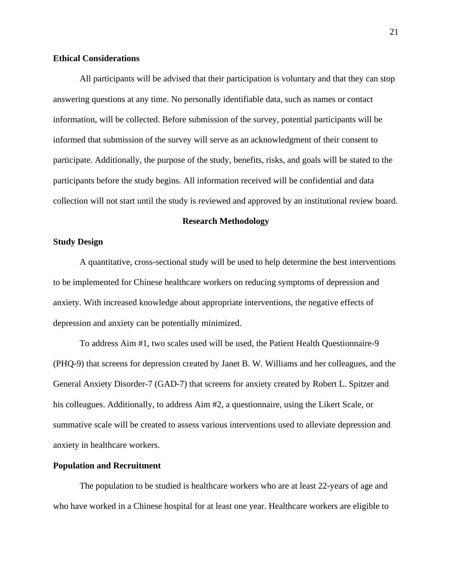### <span id="page-21-0"></span>**Ethical Considerations**

All participants will be advised that their participation is voluntary and that they can stop answering questions at any time. No personally identifiable data, such as names or contact information, will be collected. Before submission of the survey, potential participants will be informed that submission of the survey will serve as an acknowledgment of their consent to participate. Additionally, the purpose of the study, benefits, risks, and goals will be stated to the participants before the study begins. All information received will be confidential and data collection will not start until the study is reviewed and approved by an institutional review board.

#### **Research Methodology**

## <span id="page-21-2"></span><span id="page-21-1"></span>**Study Design**

A quantitative, cross-sectional study will be used to help determine the best interventions to be implemented for Chinese healthcare workers on reducing symptoms of depression and anxiety. With increased knowledge about appropriate interventions, the negative effects of depression and anxiety can be potentially minimized.

To address Aim #1, two scales used will be used, the Patient Health Questionnaire-9 (PHQ-9) that screens for depression created by Janet B. W. Williams and her colleagues, and the General Anxiety Disorder-7 (GAD-7) that screens for anxiety created by Robert L. Spitzer and his colleagues. Additionally, to address Aim #2, a questionnaire, using the Likert Scale, or summative scale will be created to assess various interventions used to alleviate depression and anxiety in healthcare workers.

#### <span id="page-21-3"></span>**Population and Recruitment**

The population to be studied is healthcare workers who are at least 22-years of age and who have worked in a Chinese hospital for at least one year. Healthcare workers are eligible to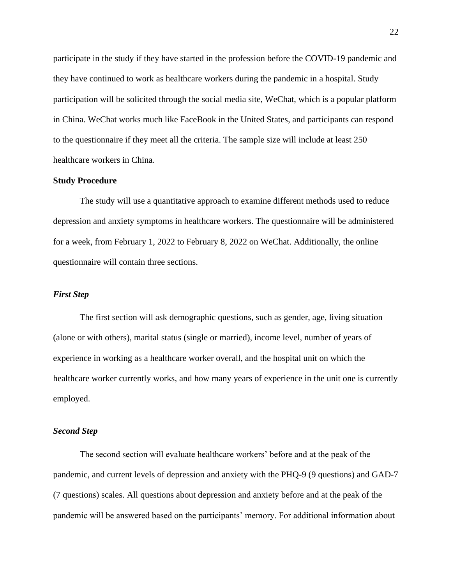participate in the study if they have started in the profession before the COVID-19 pandemic and they have continued to work as healthcare workers during the pandemic in a hospital. Study participation will be solicited through the social media site, WeChat, which is a popular platform in China. WeChat works much like FaceBook in the United States, and participants can respond to the questionnaire if they meet all the criteria. The sample size will include at least 250 healthcare workers in China.

#### <span id="page-22-0"></span>**Study Procedure**

The study will use a quantitative approach to examine different methods used to reduce depression and anxiety symptoms in healthcare workers. The questionnaire will be administered for a week, from February 1, 2022 to February 8, 2022 on WeChat. Additionally, the online questionnaire will contain three sections.

## <span id="page-22-1"></span>*First Step*

The first section will ask demographic questions, such as gender, age, living situation (alone or with others), marital status (single or married), income level, number of years of experience in working as a healthcare worker overall, and the hospital unit on which the healthcare worker currently works, and how many years of experience in the unit one is currently employed.

## <span id="page-22-2"></span>*Second Step*

The second section will evaluate healthcare workers' before and at the peak of the pandemic, and current levels of depression and anxiety with the PHQ-9 (9 questions) and GAD-7 (7 questions) scales. All questions about depression and anxiety before and at the peak of the pandemic will be answered based on the participants' memory. For additional information about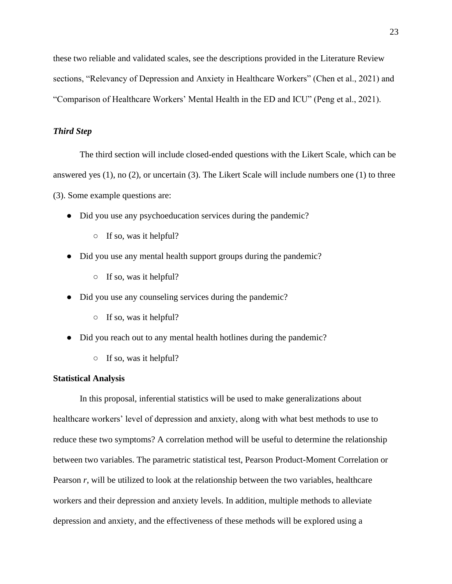these two reliable and validated scales, see the descriptions provided in the Literature Review sections, "Relevancy of Depression and Anxiety in Healthcare Workers" (Chen et al., 2021) and "Comparison of Healthcare Workers' Mental Health in the ED and ICU" (Peng et al., 2021).

# <span id="page-23-0"></span>*Third Step*

The third section will include closed-ended questions with the Likert Scale, which can be answered yes (1), no (2), or uncertain (3). The Likert Scale will include numbers one (1) to three (3). Some example questions are:

- Did you use any psychoeducation services during the pandemic?
	- $\circ$  If so, was it helpful?
- Did you use any mental health support groups during the pandemic?
	- $\circ$  If so, was it helpful?
- Did you use any counseling services during the pandemic?
	- $\circ$  If so, was it helpful?
- Did you reach out to any mental health hotlines during the pandemic?
	- $\circ$  If so, was it helpful?

# <span id="page-23-1"></span>**Statistical Analysis**

In this proposal, inferential statistics will be used to make generalizations about healthcare workers' level of depression and anxiety, along with what best methods to use to reduce these two symptoms? A correlation method will be useful to determine the relationship between two variables. The parametric statistical test, Pearson Product-Moment Correlation or Pearson *r*, will be utilized to look at the relationship between the two variables, healthcare workers and their depression and anxiety levels. In addition, multiple methods to alleviate depression and anxiety, and the effectiveness of these methods will be explored using a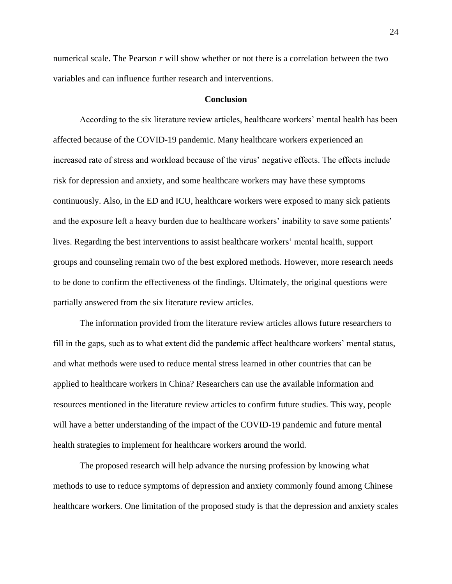numerical scale. The Pearson *r* will show whether or not there is a correlation between the two variables and can influence further research and interventions.

#### **Conclusion**

<span id="page-24-0"></span>According to the six literature review articles, healthcare workers' mental health has been affected because of the COVID-19 pandemic. Many healthcare workers experienced an increased rate of stress and workload because of the virus' negative effects. The effects include risk for depression and anxiety, and some healthcare workers may have these symptoms continuously. Also, in the ED and ICU, healthcare workers were exposed to many sick patients and the exposure left a heavy burden due to healthcare workers' inability to save some patients' lives. Regarding the best interventions to assist healthcare workers' mental health, support groups and counseling remain two of the best explored methods. However, more research needs to be done to confirm the effectiveness of the findings. Ultimately, the original questions were partially answered from the six literature review articles.

The information provided from the literature review articles allows future researchers to fill in the gaps, such as to what extent did the pandemic affect healthcare workers' mental status, and what methods were used to reduce mental stress learned in other countries that can be applied to healthcare workers in China? Researchers can use the available information and resources mentioned in the literature review articles to confirm future studies. This way, people will have a better understanding of the impact of the COVID-19 pandemic and future mental health strategies to implement for healthcare workers around the world.

The proposed research will help advance the nursing profession by knowing what methods to use to reduce symptoms of depression and anxiety commonly found among Chinese healthcare workers. One limitation of the proposed study is that the depression and anxiety scales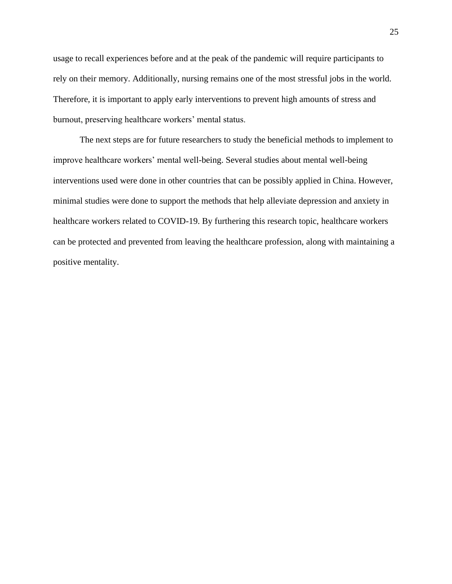usage to recall experiences before and at the peak of the pandemic will require participants to rely on their memory. Additionally, nursing remains one of the most stressful jobs in the world. Therefore, it is important to apply early interventions to prevent high amounts of stress and burnout, preserving healthcare workers' mental status.

The next steps are for future researchers to study the beneficial methods to implement to improve healthcare workers' mental well-being. Several studies about mental well-being interventions used were done in other countries that can be possibly applied in China. However, minimal studies were done to support the methods that help alleviate depression and anxiety in healthcare workers related to COVID-19. By furthering this research topic, healthcare workers can be protected and prevented from leaving the healthcare profession, along with maintaining a positive mentality.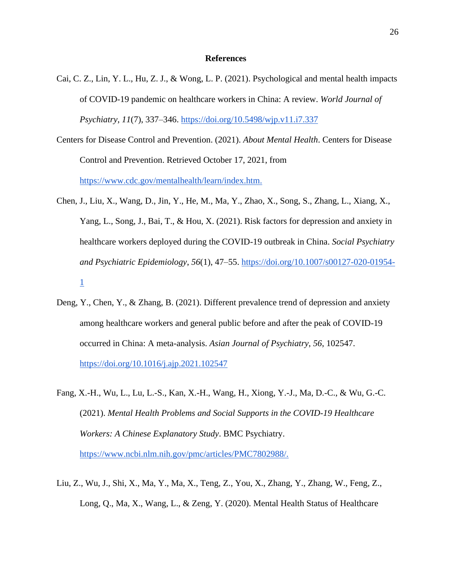#### **References**

- <span id="page-26-0"></span>Cai, C. Z., Lin, Y. L., Hu, Z. J., & Wong, L. P. (2021). Psychological and mental health impacts of COVID-19 pandemic on healthcare workers in China: A review. *World Journal of Psychiatry*, *11*(7), 337–346.<https://doi.org/10.5498/wjp.v11.i7.337>
- Centers for Disease Control and Prevention. (2021). *About Mental Health*. Centers for Disease Control and Prevention. Retrieved October 17, 2021, from [https://www.cdc.gov/mentalhealth/learn/index.htm.](https://www.cdc.gov/mentalhealth/learn/index.htm)
- Chen, J., Liu, X., Wang, D., Jin, Y., He, M., Ma, Y., Zhao, X., Song, S., Zhang, L., Xiang, X., Yang, L., Song, J., Bai, T., & Hou, X. (2021). Risk factors for depression and anxiety in healthcare workers deployed during the COVID-19 outbreak in China. *Social Psychiatry and Psychiatric Epidemiology*, *56*(1), 47–55. [https://doi.org/10.1007/s00127-020-01954-](https://doi.org/10.1007/s00127-020-01954-1) [1](https://doi.org/10.1007/s00127-020-01954-1)
- Deng, Y., Chen, Y., & Zhang, B. (2021). Different prevalence trend of depression and anxiety among healthcare workers and general public before and after the peak of COVID-19 occurred in China: A meta-analysis. *Asian Journal of Psychiatry*, *56*, 102547. <https://doi.org/10.1016/j.ajp.2021.102547>
- Fang, X.-H., Wu, L., Lu, L.-S., Kan, X.-H., Wang, H., Xiong, Y.-J., Ma, D.-C., & Wu, G.-C. (2021). *Mental Health Problems and Social Supports in the COVID-19 Healthcare Workers: A Chinese Explanatory Study*. BMC Psychiatry. [https://www.ncbi.nlm.nih.gov/pmc/articles/PMC7802988/.](https://www.ncbi.nlm.nih.gov/pmc/articles/PMC7802988/)
- Liu, Z., Wu, J., Shi, X., Ma, Y., Ma, X., Teng, Z., You, X., Zhang, Y., Zhang, W., Feng, Z., Long, Q., Ma, X., Wang, L., & Zeng, Y. (2020). Mental Health Status of Healthcare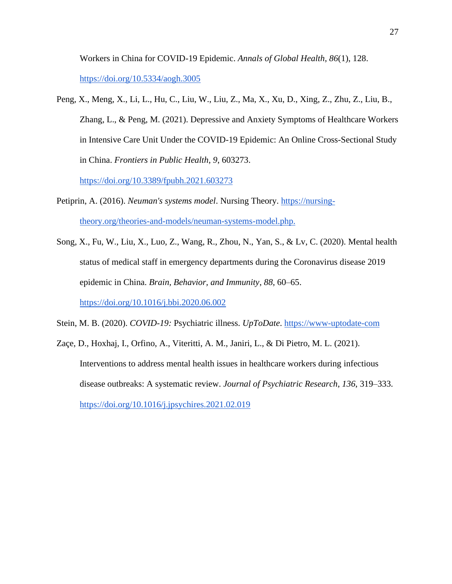Workers in China for COVID-19 Epidemic. *Annals of Global Health*, *86*(1), 128. <https://doi.org/10.5334/aogh.3005>

Peng, X., Meng, X., Li, L., Hu, C., Liu, W., Liu, Z., Ma, X., Xu, D., Xing, Z., Zhu, Z., Liu, B., Zhang, L., & Peng, M. (2021). Depressive and Anxiety Symptoms of Healthcare Workers in Intensive Care Unit Under the COVID-19 Epidemic: An Online Cross-Sectional Study in China. *Frontiers in Public Health*, *9*, 603273.

<https://doi.org/10.3389/fpubh.2021.603273>

- Petiprin, A. (2016). *Neuman's systems model*. Nursing Theory. [https://nursing](https://nursing-theory.org/theories-and-models/neuman-systems-model.php)[theory.org/theories-and-models/neuman-systems-model.php.](https://nursing-theory.org/theories-and-models/neuman-systems-model.php)
- Song, X., Fu, W., Liu, X., Luo, Z., Wang, R., Zhou, N., Yan, S., & Lv, C. (2020). Mental health status of medical staff in emergency departments during the Coronavirus disease 2019 epidemic in China. *Brain, Behavior, and Immunity*, *88*, 60–65. <https://doi.org/10.1016/j.bbi.2020.06.002>

Stein, M. B. (2020). *COVID-19:* Psychiatric illness. *UpToDate*. [https://www-uptodate-com](https://www-uptodate-com.dominican.idm.oclc.org/contents/covid-19-psychiatric-illness?search=healthcare%20workers%27%20mental%20health%20in%20china&source=search_result&selectedTitle=2~150&usage_type=default&display_rank=2)

Zaçe, D., Hoxhaj, I., Orfino, A., Viteritti, A. M., Janiri, L., & Di Pietro, M. L. (2021). Interventions to address mental health issues in healthcare workers during infectious disease outbreaks: A systematic review. *Journal of Psychiatric Research*, *136*, 319–333. <https://doi.org/10.1016/j.jpsychires.2021.02.019>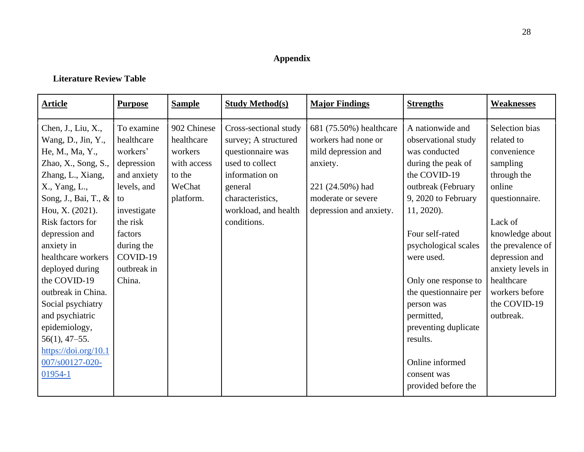# **Appendix**

# **Literature Review Table**

<span id="page-28-1"></span><span id="page-28-0"></span>

| <b>Article</b>                                                                                                                                                                                                                                                                                                                                                                                                                                                              | <b>Purpose</b>                                                                                                                                                                  | <b>Sample</b>                                                                        | <b>Study Method(s)</b>                                                                                                                                                        | <b>Major Findings</b>                                                                                                                                  | <b>Strengths</b>                                                                                                                                                                                                                                                                                                                                                                             | <b>Weaknesses</b>                                                                                                                                                                                                                                         |
|-----------------------------------------------------------------------------------------------------------------------------------------------------------------------------------------------------------------------------------------------------------------------------------------------------------------------------------------------------------------------------------------------------------------------------------------------------------------------------|---------------------------------------------------------------------------------------------------------------------------------------------------------------------------------|--------------------------------------------------------------------------------------|-------------------------------------------------------------------------------------------------------------------------------------------------------------------------------|--------------------------------------------------------------------------------------------------------------------------------------------------------|----------------------------------------------------------------------------------------------------------------------------------------------------------------------------------------------------------------------------------------------------------------------------------------------------------------------------------------------------------------------------------------------|-----------------------------------------------------------------------------------------------------------------------------------------------------------------------------------------------------------------------------------------------------------|
| Chen, J., Liu, X.,<br>Wang, D., Jin, Y.,<br>He, M., Ma, Y.,<br>Zhao, $X1$ , Song, S.,<br>Zhang, L., Xiang,<br>X., Yang, L.,<br>Song, J., Bai, T., &<br>Hou, X. (2021).<br>Risk factors for<br>depression and<br>anxiety in<br>healthcare workers<br>deployed during<br>the COVID-19<br>outbreak in China.<br>Social psychiatry<br>and psychiatric<br>epidemiology,<br>$56(1)$ , 47-55.<br>$\frac{https://doi.org/10.1}{https://doi.org/10.1}$<br>007/s00127-020-<br>01954-1 | To examine<br>healthcare<br>workers'<br>depression<br>and anxiety<br>levels, and<br>to<br>investigate<br>the risk<br>factors<br>during the<br>COVID-19<br>outbreak in<br>China. | 902 Chinese<br>healthcare<br>workers<br>with access<br>to the<br>WeChat<br>platform. | Cross-sectional study<br>survey; A structured<br>questionnaire was<br>used to collect<br>information on<br>general<br>characteristics,<br>workload, and health<br>conditions. | 681 (75.50%) healthcare<br>workers had none or<br>mild depression and<br>anxiety.<br>221 (24.50%) had<br>moderate or severe<br>depression and anxiety. | A nationwide and<br>observational study<br>was conducted<br>during the peak of<br>the COVID-19<br>outbreak (February<br>9, 2020 to February<br>11, 2020).<br>Four self-rated<br>psychological scales<br>were used.<br>Only one response to<br>the questionnaire per<br>person was<br>permitted,<br>preventing duplicate<br>results.<br>Online informed<br>consent was<br>provided before the | Selection bias<br>related to<br>convenience<br>sampling<br>through the<br>online<br>questionnaire.<br>Lack of<br>knowledge about<br>the prevalence of<br>depression and<br>anxiety levels in<br>healthcare<br>workers before<br>the COVID-19<br>outbreak. |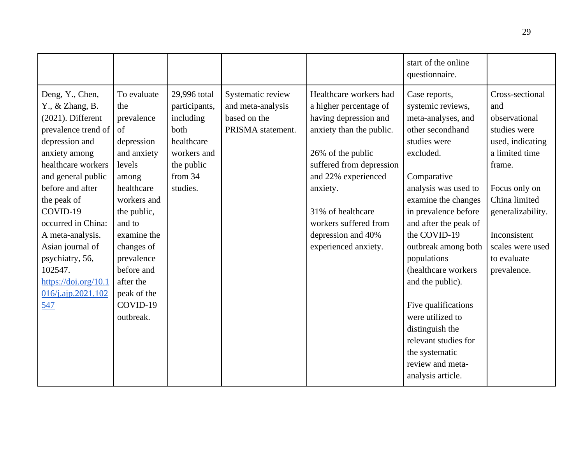|                                                                                                                                                                                                                                                                                                                                                                                                                                                                                                                                                                                                                                                                                   |                                                                                                                      |                                                                             |                                                                                                                                                                                                                                                                                       | start of the online<br>questionnaire.                                                                                                                                                                                                                                                                                                                                                                                                                                       |                                                                                                                                                                                                                                  |
|-----------------------------------------------------------------------------------------------------------------------------------------------------------------------------------------------------------------------------------------------------------------------------------------------------------------------------------------------------------------------------------------------------------------------------------------------------------------------------------------------------------------------------------------------------------------------------------------------------------------------------------------------------------------------------------|----------------------------------------------------------------------------------------------------------------------|-----------------------------------------------------------------------------|---------------------------------------------------------------------------------------------------------------------------------------------------------------------------------------------------------------------------------------------------------------------------------------|-----------------------------------------------------------------------------------------------------------------------------------------------------------------------------------------------------------------------------------------------------------------------------------------------------------------------------------------------------------------------------------------------------------------------------------------------------------------------------|----------------------------------------------------------------------------------------------------------------------------------------------------------------------------------------------------------------------------------|
| To evaluate<br>Deng, Y., Chen,<br>$Y_{\cdot}$ , & Zhang, B.<br>the<br>$(2021)$ . Different<br>prevalence<br>prevalence trend of<br>of<br>depression and<br>depression<br>anxiety among<br>and anxiety<br>healthcare workers<br>levels<br>and general public<br>among<br>before and after<br>healthcare<br>the peak of<br>workers and<br>COVID-19<br>the public,<br>occurred in China:<br>and to<br>A meta-analysis.<br>examine the<br>Asian journal of<br>changes of<br>psychiatry, 56,<br>prevalence<br>102547.<br>before and<br>$\frac{https://doi.org/10.1}{https://doi.org/10.1}$<br>after the<br>peak of the<br>$016$ /j.ajp.2021.102<br>COVID-19<br><u>547</u><br>outbreak. | 29,996 total<br>participants,<br>including<br>both<br>healthcare<br>workers and<br>the public<br>from 34<br>studies. | Systematic review<br>and meta-analysis<br>based on the<br>PRISMA statement. | Healthcare workers had<br>a higher percentage of<br>having depression and<br>anxiety than the public.<br>26% of the public<br>suffered from depression<br>and 22% experienced<br>anxiety.<br>31% of healthcare<br>workers suffered from<br>depression and 40%<br>experienced anxiety. | Case reports,<br>systemic reviews,<br>meta-analyses, and<br>other secondhand<br>studies were<br>excluded.<br>Comparative<br>analysis was used to<br>examine the changes<br>in prevalence before<br>and after the peak of<br>the COVID-19<br>outbreak among both<br>populations<br>(healthcare workers)<br>and the public).<br>Five qualifications<br>were utilized to<br>distinguish the<br>relevant studies for<br>the systematic<br>review and meta-<br>analysis article. | Cross-sectional<br>and<br>observational<br>studies were<br>used, indicating<br>a limited time<br>frame.<br>Focus only on<br>China limited<br>generalizability.<br>Inconsistent<br>scales were used<br>to evaluate<br>prevalence. |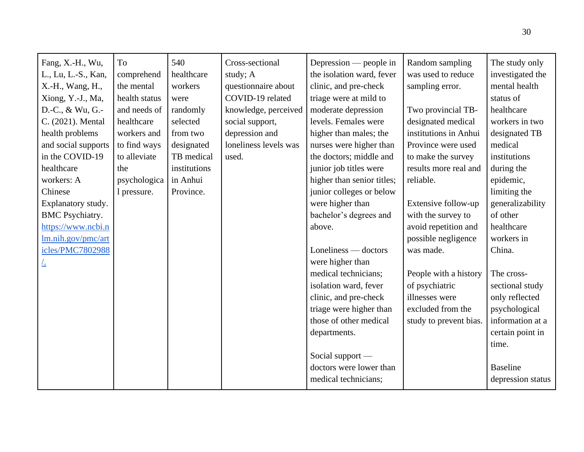| Fang, X.-H., Wu,       | To            | 540          | Cross-sectional       | Depression — people in     | Random sampling        | The study only    |
|------------------------|---------------|--------------|-----------------------|----------------------------|------------------------|-------------------|
| L., Lu, L.-S., Kan,    | comprehend    | healthcare   | study; A              | the isolation ward, fever  | was used to reduce     | investigated the  |
| X.-H., Wang, H.,       | the mental    | workers      | questionnaire about   | clinic, and pre-check      | sampling error.        | mental health     |
| Xiong, Y.-J., Ma,      | health status | were         | COVID-19 related      | triage were at mild to     |                        | status of         |
| D.-C., & Wu, G.-       | and needs of  | randomly     | knowledge, perceived  | moderate depression        | Two provincial TB-     | healthcare        |
| C. (2021). Mental      | healthcare    | selected     | social support,       | levels. Females were       | designated medical     | workers in two    |
| health problems        | workers and   | from two     | depression and        | higher than males; the     | institutions in Anhui  | designated TB     |
| and social supports    | to find ways  | designated   | loneliness levels was | nurses were higher than    | Province were used     | medical           |
| in the COVID-19        | to alleviate  | TB medical   | used.                 | the doctors; middle and    | to make the survey     | institutions      |
| healthcare             | the           | institutions |                       | junior job titles were     | results more real and  | during the        |
| workers: A             | psychologica  | in Anhui     |                       | higher than senior titles; | reliable.              | epidemic,         |
| Chinese                | 1 pressure.   | Province.    |                       | junior colleges or below   |                        | limiting the      |
| Explanatory study.     |               |              |                       | were higher than           | Extensive follow-up    | generalizability  |
| <b>BMC</b> Psychiatry. |               |              |                       | bachelor's degrees and     | with the survey to     | of other          |
| https://www.ncbi.n     |               |              |                       | above.                     | avoid repetition and   | healthcare        |
| lm.nih.gov/pmc/art     |               |              |                       |                            | possible negligence    | workers in        |
| icles/PMC7802988       |               |              |                       | Loneliness — doctors       | was made.              | China.            |
| <u>/.</u>              |               |              |                       | were higher than           |                        |                   |
|                        |               |              |                       | medical technicians;       | People with a history  | The cross-        |
|                        |               |              |                       | isolation ward, fever      | of psychiatric         | sectional study   |
|                        |               |              |                       | clinic, and pre-check      | illnesses were         | only reflected    |
|                        |               |              |                       | triage were higher than    | excluded from the      | psychological     |
|                        |               |              |                       | those of other medical     | study to prevent bias. | information at a  |
|                        |               |              |                       | departments.               |                        | certain point in  |
|                        |               |              |                       |                            |                        | time.             |
|                        |               |              |                       | Social support -           |                        |                   |
|                        |               |              |                       | doctors were lower than    |                        | <b>Baseline</b>   |
|                        |               |              |                       | medical technicians;       |                        | depression status |
|                        |               |              |                       |                            |                        |                   |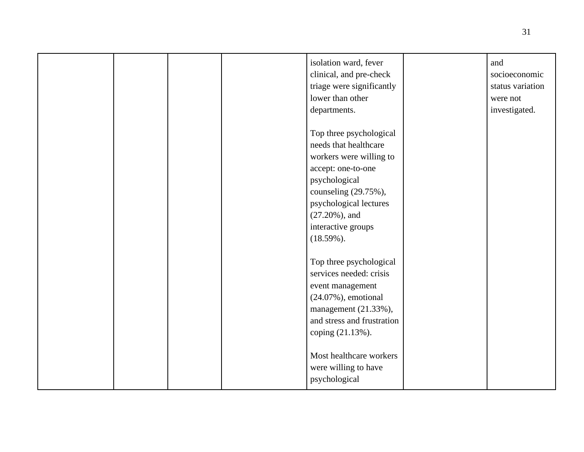| lower than other<br>departments.                                                               | isolation ward, fever<br>and<br>clinical, and pre-check<br>socioeconomic<br>triage were significantly<br>status variation<br>were not<br>investigated.                                 |
|------------------------------------------------------------------------------------------------|----------------------------------------------------------------------------------------------------------------------------------------------------------------------------------------|
| accept: one-to-one<br>psychological<br>$(27.20\%)$ , and<br>interactive groups<br>$(18.59\%).$ | Top three psychological<br>needs that healthcare<br>workers were willing to<br>counseling (29.75%),<br>psychological lectures                                                          |
| event management<br>coping (21.13%).<br>psychological                                          | Top three psychological<br>services needed: crisis<br>$(24.07\%)$ , emotional<br>management (21.33%),<br>and stress and frustration<br>Most healthcare workers<br>were willing to have |

31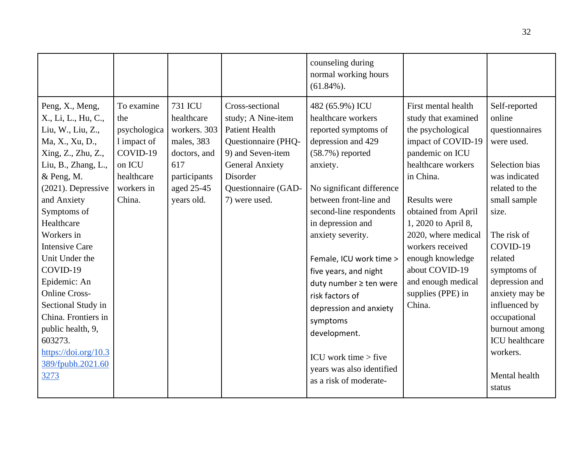|                                                                                                                                                                                                                                                                                                                                                                                                                                                               |                                                                                                              |                                                                                                                               |                                                                                                                                                                                          | counseling during<br>normal working hours<br>$(61.84\%).$                                                                                                                                                                                                                                                                                                                                                                                                                                 |                                                                                                                                                                                                                                                                                                                                                        |                                                                                                                                                                                                                                                                                                                                                  |
|---------------------------------------------------------------------------------------------------------------------------------------------------------------------------------------------------------------------------------------------------------------------------------------------------------------------------------------------------------------------------------------------------------------------------------------------------------------|--------------------------------------------------------------------------------------------------------------|-------------------------------------------------------------------------------------------------------------------------------|------------------------------------------------------------------------------------------------------------------------------------------------------------------------------------------|-------------------------------------------------------------------------------------------------------------------------------------------------------------------------------------------------------------------------------------------------------------------------------------------------------------------------------------------------------------------------------------------------------------------------------------------------------------------------------------------|--------------------------------------------------------------------------------------------------------------------------------------------------------------------------------------------------------------------------------------------------------------------------------------------------------------------------------------------------------|--------------------------------------------------------------------------------------------------------------------------------------------------------------------------------------------------------------------------------------------------------------------------------------------------------------------------------------------------|
| Peng, X., Meng,<br>X., Li, L., Hu, C.,<br>Liu, W., Liu, Z.,<br>Ma, X., Xu, D.,<br>Xing, Z., Zhu, Z.,<br>Liu, B., Zhang, L.,<br>& Peng, M.<br>$(2021)$ . Depressive<br>and Anxiety<br>Symptoms of<br>Healthcare<br>Workers in<br><b>Intensive Care</b><br>Unit Under the<br>COVID-19<br>Epidemic: An<br><b>Online Cross-</b><br>Sectional Study in<br>China. Frontiers in<br>public health, 9,<br>603273.<br>https://doi.org/10.3<br>389/fpubh.2021.60<br>3273 | To examine<br>the<br>psychologica<br>1 impact of<br>COVID-19<br>on ICU<br>healthcare<br>workers in<br>China. | <b>731 ICU</b><br>healthcare<br>workers. 303<br>males, 383<br>doctors, and<br>617<br>participants<br>aged 25-45<br>years old. | Cross-sectional<br>study; A Nine-item<br><b>Patient Health</b><br>Questionnaire (PHQ-<br>9) and Seven-item<br><b>General Anxiety</b><br>Disorder<br>Questionnaire (GAD-<br>7) were used. | 482 (65.9%) ICU<br>healthcare workers<br>reported symptoms of<br>depression and 429<br>$(58.7%)$ reported<br>anxiety.<br>No significant difference<br>between front-line and<br>second-line respondents<br>in depression and<br>anxiety severity.<br>Female, ICU work time ><br>five years, and night<br>duty number ≥ ten were<br>risk factors of<br>depression and anxiety<br>symptoms<br>development.<br>ICU work time $>$ five<br>years was also identified<br>as a risk of moderate- | First mental health<br>study that examined<br>the psychological<br>impact of COVID-19<br>pandemic on ICU<br>healthcare workers<br>in China.<br><b>Results were</b><br>obtained from April<br>1, 2020 to April 8,<br>2020, where medical<br>workers received<br>enough knowledge<br>about COVID-19<br>and enough medical<br>supplies (PPE) in<br>China. | Self-reported<br>online<br>questionnaires<br>were used.<br>Selection bias<br>was indicated<br>related to the<br>small sample<br>size.<br>The risk of<br>COVID-19<br>related<br>symptoms of<br>depression and<br>anxiety may be<br>influenced by<br>occupational<br>burnout among<br><b>ICU</b> healthcare<br>workers.<br>Mental health<br>status |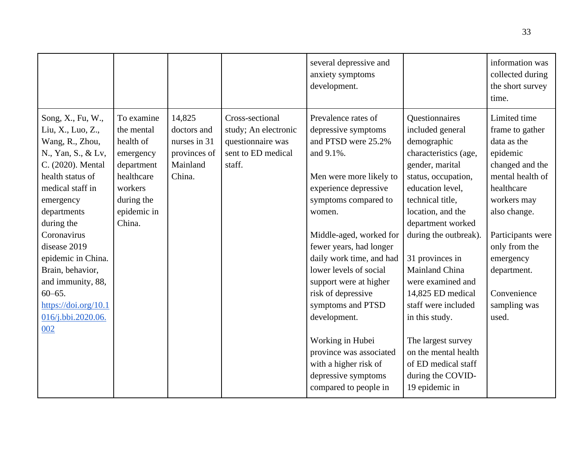|                                                                                                                                                                                                                                                                                                                                                         |                                                                                                                                  |                                                                             |                                                                                              | several depressive and<br>anxiety symptoms<br>development.                                                                                                                                                                                                                                                                                                                                                                                                                                    |                                                                                                                                                                                                                                                                                                                                                                                                                                                                     | information was<br>collected during<br>the short survey<br>time.                                                                                                                                                                                         |
|---------------------------------------------------------------------------------------------------------------------------------------------------------------------------------------------------------------------------------------------------------------------------------------------------------------------------------------------------------|----------------------------------------------------------------------------------------------------------------------------------|-----------------------------------------------------------------------------|----------------------------------------------------------------------------------------------|-----------------------------------------------------------------------------------------------------------------------------------------------------------------------------------------------------------------------------------------------------------------------------------------------------------------------------------------------------------------------------------------------------------------------------------------------------------------------------------------------|---------------------------------------------------------------------------------------------------------------------------------------------------------------------------------------------------------------------------------------------------------------------------------------------------------------------------------------------------------------------------------------------------------------------------------------------------------------------|----------------------------------------------------------------------------------------------------------------------------------------------------------------------------------------------------------------------------------------------------------|
| Song, X., Fu, W.,<br>Liu, X., Luo, Z.,<br>Wang, R., Zhou,<br>N., Yan, S., & Lv,<br>C. (2020). Mental<br>health status of<br>medical staff in<br>emergency<br>departments<br>during the<br>Coronavirus<br>disease 2019<br>epidemic in China.<br>Brain, behavior,<br>and immunity, 88,<br>$60 - 65.$<br>https://doi.org/10.1<br>016/j.bbi.2020.06.<br>002 | To examine<br>the mental<br>health of<br>emergency<br>department<br>healthcare<br>workers<br>during the<br>epidemic in<br>China. | 14,825<br>doctors and<br>nurses in 31<br>provinces of<br>Mainland<br>China. | Cross-sectional<br>study; An electronic<br>questionnaire was<br>sent to ED medical<br>staff. | Prevalence rates of<br>depressive symptoms<br>and PTSD were 25.2%<br>and 9.1%.<br>Men were more likely to<br>experience depressive<br>symptoms compared to<br>women.<br>Middle-aged, worked for<br>fewer years, had longer<br>daily work time, and had<br>lower levels of social<br>support were at higher<br>risk of depressive<br>symptoms and PTSD<br>development.<br>Working in Hubei<br>province was associated<br>with a higher risk of<br>depressive symptoms<br>compared to people in | Questionnaires<br>included general<br>demographic<br>characteristics (age,<br>gender, marital<br>status, occupation,<br>education level,<br>technical title,<br>location, and the<br>department worked<br>during the outbreak).<br>31 provinces in<br>Mainland China<br>were examined and<br>14,825 ED medical<br>staff were included<br>in this study.<br>The largest survey<br>on the mental health<br>of ED medical staff<br>during the COVID-<br>19 epidemic in | Limited time<br>frame to gather<br>data as the<br>epidemic<br>changed and the<br>mental health of<br>healthcare<br>workers may<br>also change.<br>Participants were<br>only from the<br>emergency<br>department.<br>Convenience<br>sampling was<br>used. |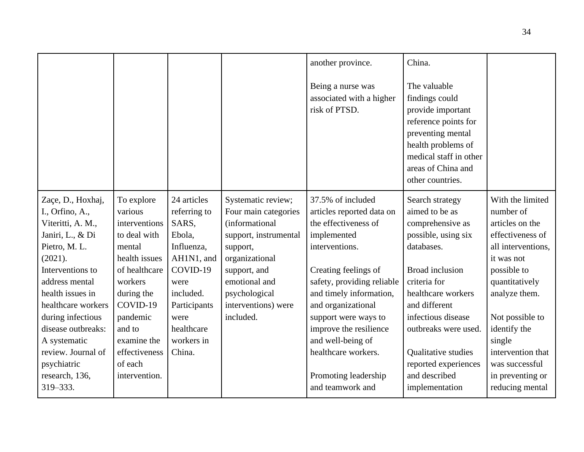|                                                                                                                                                                                                                                                                                                                           |                                                                                                                                                                                                                           |                                                                                                                                                                           |                                                                                                                                                                                                           | another province.<br>Being a nurse was<br>associated with a higher<br>risk of PTSD.                                                                                                                                                                                                                                                                      | China.<br>The valuable<br>findings could<br>provide important<br>reference points for<br>preventing mental<br>health problems of<br>medical staff in other<br>areas of China and<br>other countries.                                                                                                        |                                                                                                                                                                                                                                                                                       |
|---------------------------------------------------------------------------------------------------------------------------------------------------------------------------------------------------------------------------------------------------------------------------------------------------------------------------|---------------------------------------------------------------------------------------------------------------------------------------------------------------------------------------------------------------------------|---------------------------------------------------------------------------------------------------------------------------------------------------------------------------|-----------------------------------------------------------------------------------------------------------------------------------------------------------------------------------------------------------|----------------------------------------------------------------------------------------------------------------------------------------------------------------------------------------------------------------------------------------------------------------------------------------------------------------------------------------------------------|-------------------------------------------------------------------------------------------------------------------------------------------------------------------------------------------------------------------------------------------------------------------------------------------------------------|---------------------------------------------------------------------------------------------------------------------------------------------------------------------------------------------------------------------------------------------------------------------------------------|
| Zaçe, D., Hoxhaj,<br>I., Orfino, A.,<br>Viteritti, A. M.,<br>Janiri, L., & Di<br>Pietro, M. L.<br>(2021).<br>Interventions to<br>address mental<br>health issues in<br>healthcare workers<br>during infectious<br>disease outbreaks:<br>A systematic<br>review. Journal of<br>psychiatric<br>research, 136,<br>319 - 333. | To explore<br>various<br>interventions<br>to deal with<br>mental<br>health issues<br>of healthcare<br>workers<br>during the<br>COVID-19<br>pandemic<br>and to<br>examine the<br>effectiveness<br>of each<br>intervention. | 24 articles<br>referring to<br>SARS,<br>Ebola,<br>Influenza,<br>AH1N1, and<br>COVID-19<br>were<br>included.<br>Participants<br>were<br>healthcare<br>workers in<br>China. | Systematic review;<br>Four main categories<br>(informational<br>support, instrumental<br>support,<br>organizational<br>support, and<br>emotional and<br>psychological<br>interventions) were<br>included. | 37.5% of included<br>articles reported data on<br>the effectiveness of<br>implemented<br>interventions.<br>Creating feelings of<br>safety, providing reliable<br>and timely information,<br>and organizational<br>support were ways to<br>improve the resilience<br>and well-being of<br>healthcare workers.<br>Promoting leadership<br>and teamwork and | Search strategy<br>aimed to be as<br>comprehensive as<br>possible, using six<br>databases.<br><b>Broad</b> inclusion<br>criteria for<br>healthcare workers<br>and different<br>infectious disease<br>outbreaks were used.<br>Qualitative studies<br>reported experiences<br>and described<br>implementation | With the limited<br>number of<br>articles on the<br>effectiveness of<br>all interventions,<br>it was not<br>possible to<br>quantitatively<br>analyze them.<br>Not possible to<br>identify the<br>single<br>intervention that<br>was successful<br>in preventing or<br>reducing mental |